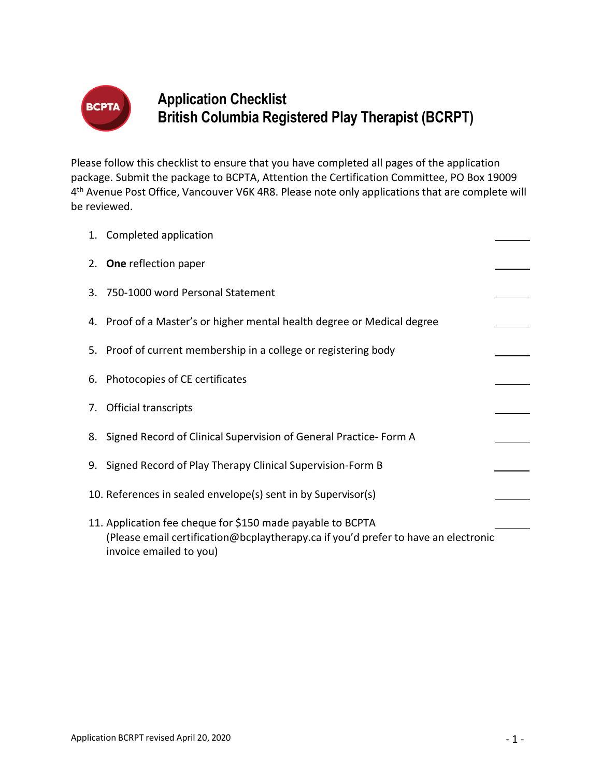

# **Application Checklist British Columbia Registered Play Therapist (BCRPT)**

Please follow this checklist to ensure that you have completed all pages of the application package. Submit the package to BCPTA, Attention the Certification Committee, PO Box 19009 4th Avenue Post Office, Vancouver V6K 4R8. Please note only applications that are complete will be reviewed.

| 1. Completed application                                                                                                                                                    |  |
|-----------------------------------------------------------------------------------------------------------------------------------------------------------------------------|--|
| 2. One reflection paper                                                                                                                                                     |  |
| 3. 750-1000 word Personal Statement                                                                                                                                         |  |
| 4. Proof of a Master's or higher mental health degree or Medical degree                                                                                                     |  |
| 5. Proof of current membership in a college or registering body                                                                                                             |  |
| 6. Photocopies of CE certificates                                                                                                                                           |  |
| 7. Official transcripts                                                                                                                                                     |  |
| 8. Signed Record of Clinical Supervision of General Practice-Form A                                                                                                         |  |
| 9. Signed Record of Play Therapy Clinical Supervision-Form B                                                                                                                |  |
| 10. References in sealed envelope(s) sent in by Supervisor(s)                                                                                                               |  |
| 11. Application fee cheque for \$150 made payable to BCPTA<br>(Please email certification@bcplaytherapy.ca if you'd prefer to have an electronic<br>invoice emailed to you) |  |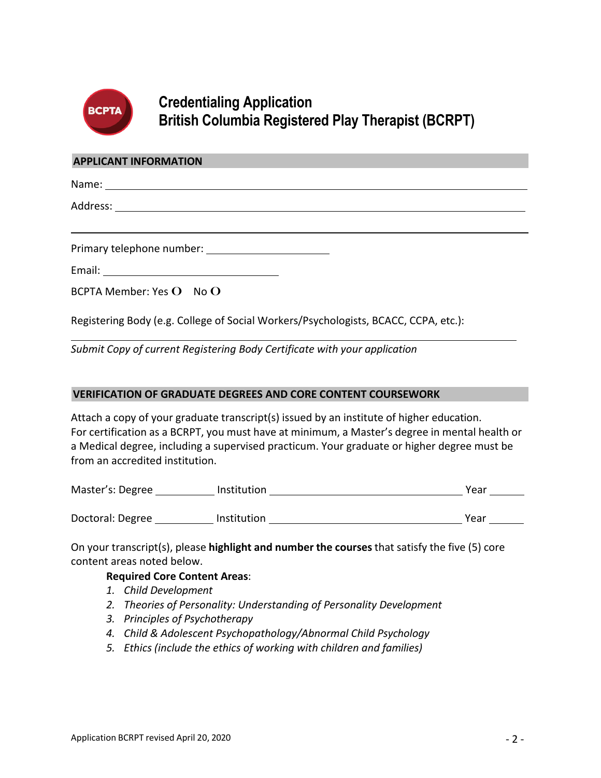

### **Credentialing Application British Columbia Registered Play Therapist (BCRPT)**

#### **APPLICANT INFORMATION**

| Primary telephone number: National Assembly Primary telephone number: |  |
|-----------------------------------------------------------------------|--|
|                                                                       |  |
| BCPTA Member: Yes O No O                                              |  |

Registering Body (e.g. College of Social Workers/Psychologists, BCACC, CCPA, etc.):

*Submit Copy of current Registering Body Certificate with your application*

### **VERIFICATION OF GRADUATE DEGREES AND CORE CONTENT COURSEWORK**

Attach a copy of your graduate transcript(s) issued by an institute of higher education. For certification as a BCRPT, you must have at minimum, a Master's degree in mental health or a Medical degree, including a supervised practicum. Your graduate or higher degree must be from an accredited institution.

| Master's: Degree | <i>Institution</i> | Year |
|------------------|--------------------|------|
|                  |                    |      |
| Doctoral: Degree | <b>Institution</b> | Year |

On your transcript(s), please **highlight and number the courses** that satisfy the five (5) core content areas noted below.

### **Required Core Content Areas**:

- *1. Child Development*
- *2. Theories of Personality: Understanding of Personality Development*
- *3. Principles of Psychotherapy*
- *4. Child & Adolescent Psychopathology/Abnormal Child Psychology*
- *5. Ethics (include the ethics of working with children and families)*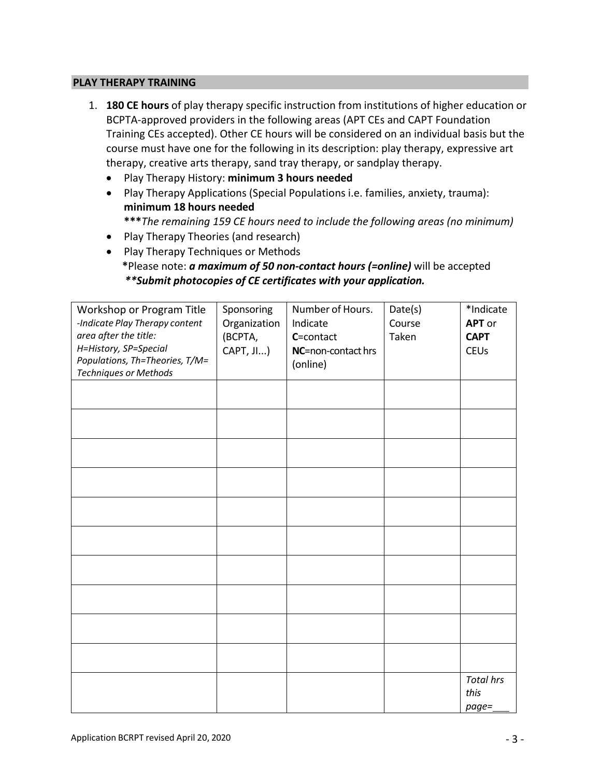#### **PLAY THERAPY TRAINING**

- 1. **180 CE hours** of play therapy specific instruction from institutions of higher education or BCPTA-approved providers in the following areas (APT CEs and CAPT Foundation Training CEs accepted). Other CE hours will be considered on an individual basis but the course must have one for the following in its description: play therapy, expressive art therapy, creative arts therapy, sand tray therapy, or sandplay therapy.
	- Play Therapy History: **minimum 3 hours needed**
	- Play Therapy Applications (Special Populations i.e. families, anxiety, trauma): **minimum 18 hours needed**

**\*\*\****The remaining 159 CE hours need to include the following areas (no minimum)*

- Play Therapy Theories (and research)
- Play Therapy Techniques or Methods **\***Please note: *a maximum of 50 non-contact hours (=online)* will be accepted *\*\*Submit photocopies of CE certificates with your application.*

| Workshop or Program Title<br>-Indicate Play Therapy content<br>area after the title:<br>H=History, SP=Special<br>Populations, Th=Theories, T/M=<br>Techniques or Methods | Sponsoring<br>Organization<br>(BCPTA,<br>CAPT, JI) | Number of Hours.<br>Indicate<br>C=contact<br>NC=non-contact hrs<br>(online) | Date(s)<br>Course<br>Taken | *Indicate<br><b>APT</b> or<br><b>CAPT</b><br><b>CEUs</b> |
|--------------------------------------------------------------------------------------------------------------------------------------------------------------------------|----------------------------------------------------|-----------------------------------------------------------------------------|----------------------------|----------------------------------------------------------|
|                                                                                                                                                                          |                                                    |                                                                             |                            |                                                          |
|                                                                                                                                                                          |                                                    |                                                                             |                            |                                                          |
|                                                                                                                                                                          |                                                    |                                                                             |                            |                                                          |
|                                                                                                                                                                          |                                                    |                                                                             |                            |                                                          |
|                                                                                                                                                                          |                                                    |                                                                             |                            |                                                          |
|                                                                                                                                                                          |                                                    |                                                                             |                            |                                                          |
|                                                                                                                                                                          |                                                    |                                                                             |                            |                                                          |
|                                                                                                                                                                          |                                                    |                                                                             |                            | <b>Total hrs</b><br>this<br>page=                        |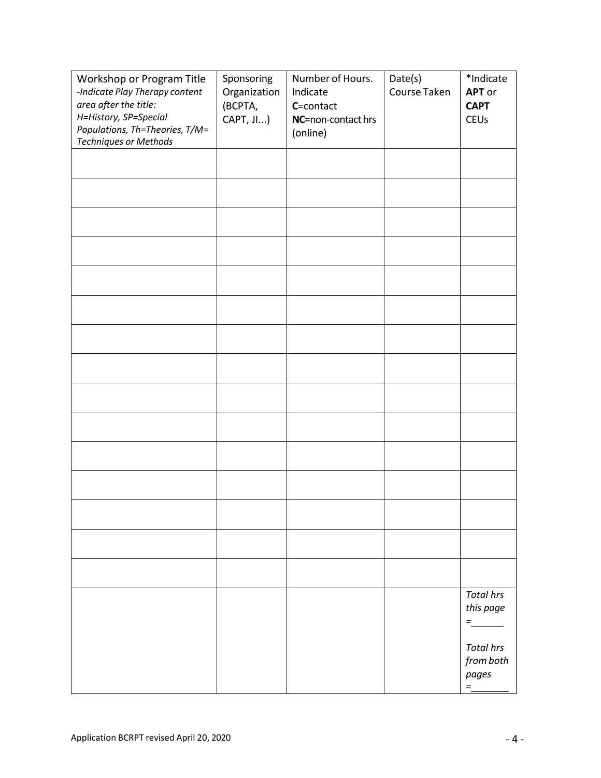| Workshop or Program Title<br>-Indicate Play Therapy content<br>area after the title:<br>H=History, SP=Special<br>Populations, Th=Theories, T/M=<br>Techniques or Methods | Sponsoring<br>Organization<br>(BCPTA,<br>CAPT, JI) | Number of Hours.<br>Indicate<br>C=contact<br>NC=non-contact hrs<br>(online) | Date(s)<br>Course Taken | *Indicate<br><b>APT</b> or<br><b>CAPT</b><br><b>CEUs</b> |
|--------------------------------------------------------------------------------------------------------------------------------------------------------------------------|----------------------------------------------------|-----------------------------------------------------------------------------|-------------------------|----------------------------------------------------------|
|                                                                                                                                                                          |                                                    |                                                                             |                         |                                                          |
|                                                                                                                                                                          |                                                    |                                                                             |                         |                                                          |
|                                                                                                                                                                          |                                                    |                                                                             |                         |                                                          |
|                                                                                                                                                                          |                                                    |                                                                             |                         |                                                          |
|                                                                                                                                                                          |                                                    |                                                                             |                         |                                                          |
|                                                                                                                                                                          |                                                    |                                                                             |                         |                                                          |
|                                                                                                                                                                          |                                                    |                                                                             |                         |                                                          |
|                                                                                                                                                                          |                                                    |                                                                             |                         |                                                          |
|                                                                                                                                                                          |                                                    |                                                                             |                         |                                                          |
|                                                                                                                                                                          |                                                    |                                                                             |                         |                                                          |
|                                                                                                                                                                          |                                                    |                                                                             |                         |                                                          |
|                                                                                                                                                                          |                                                    |                                                                             |                         |                                                          |
|                                                                                                                                                                          |                                                    |                                                                             |                         |                                                          |
|                                                                                                                                                                          |                                                    |                                                                             |                         |                                                          |
|                                                                                                                                                                          |                                                    |                                                                             |                         |                                                          |
|                                                                                                                                                                          |                                                    |                                                                             |                         | <b>Total hrs</b><br>this page<br>$\equiv$ 1000 $\pm$     |
|                                                                                                                                                                          |                                                    |                                                                             |                         | <b>Total hrs</b><br>from both<br>pages<br>$\equiv$       |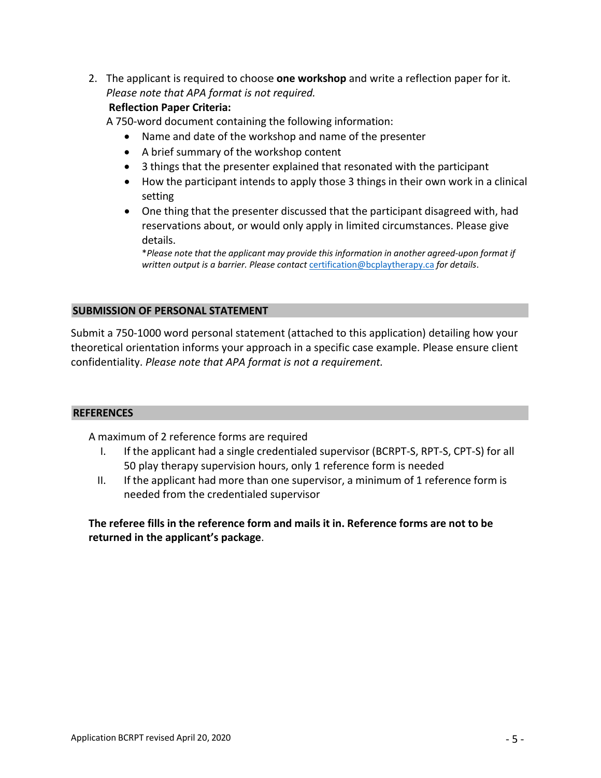2. The applicant is required to choose **one workshop** and write a reflection paper for it. *Please note that APA format is not required.*

### **Reflection Paper Criteria:**

A 750-word document containing the following information:

- Name and date of the workshop and name of the presenter
- A brief summary of the workshop content
- 3 things that the presenter explained that resonated with the participant
- How the participant intends to apply those 3 things in their own work in a clinical setting
- One thing that the presenter discussed that the participant disagreed with, had reservations about, or would only apply in limited circumstances. Please give details.

\**Please note that the applicant may provide this information in another agreed-upon format if written output is a barrier. Please contact* [certification@bcplaytherapy.ca](about:blank) *for details*.

### **SUBMISSION OF PERSONAL STATEMENT**

Submit a 750-1000 word personal statement (attached to this application) detailing how your theoretical orientation informs your approach in a specific case example. Please ensure client confidentiality. *Please note that APA format is not a requirement.*

### **REFERENCES**

A maximum of 2 reference forms are required

- I. If the applicant had a single credentialed supervisor (BCRPT-S, RPT-S, CPT-S) for all 50 play therapy supervision hours, only 1 reference form is needed
- II. If the applicant had more than one supervisor, a minimum of 1 reference form is needed from the credentialed supervisor

**The referee fills in the reference form and mails it in. Reference forms are not to be returned in the applicant's package**.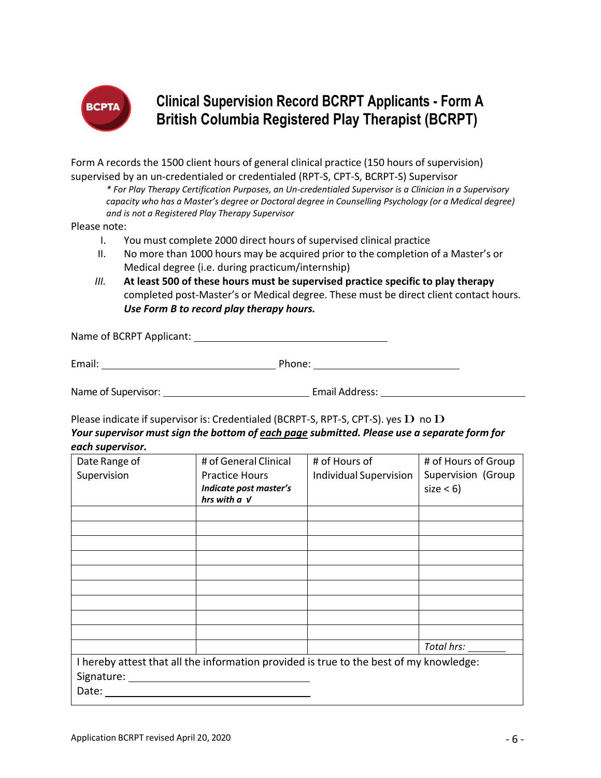

## **Clinical Supervision Record BCRPT Applicants - Form A British Columbia Registered Play Therapist (BCRPT)**

Form A records the 1500 client hours of general clinical practice (150 hours of supervision) supervised by an un-credentialed or credentialed (RPT-S, CPT-S, BCRPT-S) Supervisor

*\* For Play Therapy Certification Purposes, an Un-credentialed Supervisor is a Clinician in a Supervisory capacity who has a Master's degree or Doctoral degree in Counselling Psychology (or a Medical degree) and is not a Registered Play Therapy Supervisor*

Please note:

- I. You must complete 2000 direct hours of supervised clinical practice
- II. No more than 1000 hours may be acquired prior to the completion of a Master's or Medical degree (i.e. during practicum/internship)
- *III.* **At least 500 of these hours must be supervised practice specific to play therapy**  completed post-Master's or Medical degree. These must be direct client contact hours. *Use Form B to record play therapy hours.*

Name of BCRPT Applicant:

Email: Phone: Phone: Phone: Phone: Phone: Phone: Phone: Phone: Phone: Phone: Phone: Phone: Phone: Phone: Phone: Phone: Phone: Phone: Phone: Phone: Phone: Phone: Phone: Phone: Phone: Phone: Phone: Phone: Phone: Phone: Phone

Name of Supervisor: The Community of Supervisor Email Address:

Please indicate if supervisor is: Credentialed (BCRPT-S, RPT-S, CPT-S). yes  $\bf{D}$  no  $\bf{D}$ 

*Your supervisor must sign the bottom of each page submitted. Please use a separate form for each supervisor.*

| Date Range of                                                                          | # of General Clinical                       | # of Hours of                 | # of Hours of Group |
|----------------------------------------------------------------------------------------|---------------------------------------------|-------------------------------|---------------------|
| Supervision                                                                            | <b>Practice Hours</b>                       | <b>Individual Supervision</b> | Supervision (Group  |
|                                                                                        | Indicate post master's<br>hrs with $a \, v$ |                               | $size < 6$ )        |
|                                                                                        |                                             |                               |                     |
|                                                                                        |                                             |                               |                     |
|                                                                                        |                                             |                               |                     |
|                                                                                        |                                             |                               |                     |
|                                                                                        |                                             |                               |                     |
|                                                                                        |                                             |                               |                     |
|                                                                                        |                                             |                               |                     |
|                                                                                        |                                             |                               |                     |
|                                                                                        |                                             |                               |                     |
|                                                                                        |                                             |                               | Total hrs:          |
| I hereby attest that all the information provided is true to the best of my knowledge: |                                             |                               |                     |
| Signature:                                                                             |                                             |                               |                     |
| Date:                                                                                  |                                             |                               |                     |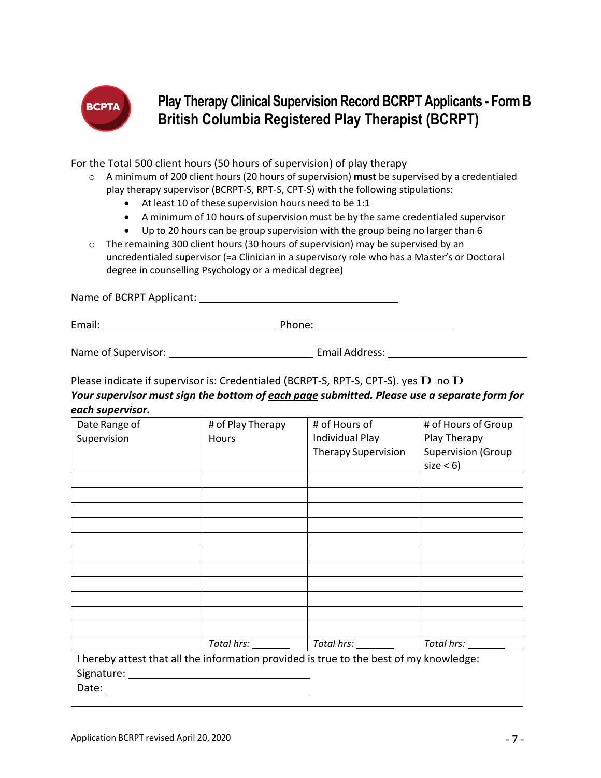

**Play Therapy Clinical Supervision Record BCRPT Applicants - Form B British Columbia Registered Play Therapist (BCRPT)**

For the Total 500 client hours (50 hours of supervision) of play therapy

- o A minimum of 200 client hours (20 hours of supervision) **must** be supervised by a credentialed play therapy supervisor (BCRPT-S, RPT-S, CPT-S) with the following stipulations:
	- At least 10 of these supervision hours need to be 1:1
	- A minimum of 10 hours of supervision must be by the same credentialed supervisor
	- Up to 20 hours can be group supervision with the group being no larger than 6
- $\circ$  The remaining 300 client hours (30 hours of supervision) may be supervised by an uncredentialed supervisor (=a Clinician in a supervisory role who has a Master's or Doctoral degree in counselling Psychology or a medical degree)

Name of BCRPT Applicant:

Email: Phone: Phone: Phone: Phone: Phone: Phone: Phone: Phone: Phone: Phone: Phone: Phone: Phone: Phone: Phone: Phone: Phone: Phone: Phone: Phone: Phone: Phone: Phone: Phone: Phone: Phone: Phone: Phone: Phone: Phone: Phone

Name of Supervisor: Email Address:

Please indicate if supervisor is: Credentialed (BCRPT-S, RPT-S, CPT-S). yes  $\bf{D}$  no  $\bf{D}$ 

### *Your supervisor must sign the bottom of each page submitted. Please use a separate form for each supervisor.*

| Date Range of<br>Supervision | # of Play Therapy<br>Hours                                                             | # of Hours of<br>Individual Play<br><b>Therapy Supervision</b>     | # of Hours of Group<br>Play Therapy<br><b>Supervision (Group</b><br>$size < 6$ ) |
|------------------------------|----------------------------------------------------------------------------------------|--------------------------------------------------------------------|----------------------------------------------------------------------------------|
|                              |                                                                                        |                                                                    |                                                                                  |
|                              |                                                                                        |                                                                    |                                                                                  |
|                              |                                                                                        |                                                                    |                                                                                  |
|                              |                                                                                        |                                                                    |                                                                                  |
|                              |                                                                                        |                                                                    |                                                                                  |
|                              |                                                                                        |                                                                    |                                                                                  |
|                              |                                                                                        |                                                                    |                                                                                  |
|                              |                                                                                        |                                                                    |                                                                                  |
|                              |                                                                                        |                                                                    |                                                                                  |
|                              |                                                                                        |                                                                    |                                                                                  |
|                              |                                                                                        |                                                                    |                                                                                  |
|                              |                                                                                        | Total hrs: ___________   Total hrs: _________   Total hrs: _______ |                                                                                  |
|                              | I hereby attest that all the information provided is true to the best of my knowledge: |                                                                    |                                                                                  |
|                              |                                                                                        |                                                                    |                                                                                  |
|                              |                                                                                        |                                                                    |                                                                                  |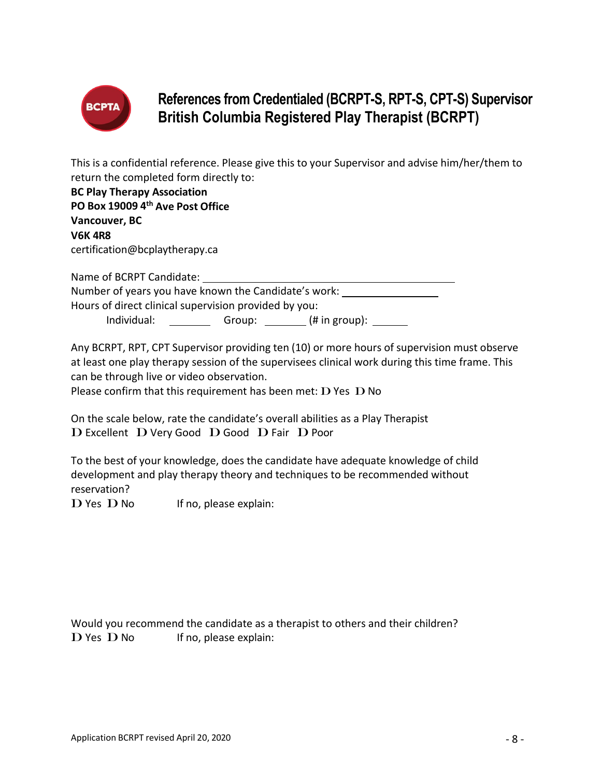

# **References from Credentialed (BCRPT-S, RPT-S, CPT-S) Supervisor British Columbia Registered Play Therapist (BCRPT)**

This is a confidential reference. Please give this to your Supervisor and advise him/her/them to return the completed form directly to:

| <b>BC Play Therapy Association</b>                    |                         |
|-------------------------------------------------------|-------------------------|
| PO Box 19009 4th Ave Post Office                      |                         |
| Vancouver, BC                                         |                         |
| <b>V6K4R8</b>                                         |                         |
| certification@bcplaytherapy.ca                        |                         |
| Name of BCRPT Candidate:                              |                         |
| Number of years you have known the Candidate's work:  |                         |
| Hours of direct clinical supervision provided by you: |                         |
| Individual:                                           | Group: $($ # in group): |

Any BCRPT, RPT, CPT Supervisor providing ten (10) or more hours of supervision must observe at least one play therapy session of the supervisees clinical work during this time frame. This can be through live or video observation.

Please confirm that this requirement has been met:  $D$  Yes  $D$  No

On the scale below, rate the candidate's overall abilities as a Play Therapist D Excellent D Very Good D Good D Fair D Poor

To the best of your knowledge, does the candidate have adequate knowledge of child development and play therapy theory and techniques to be recommended without reservation?

 $\mathbf D$  Yes  $\mathbf D$  No If no, please explain:

Would you recommend the candidate as a therapist to others and their children?  $D$  Yes  $D$  No If no, please explain: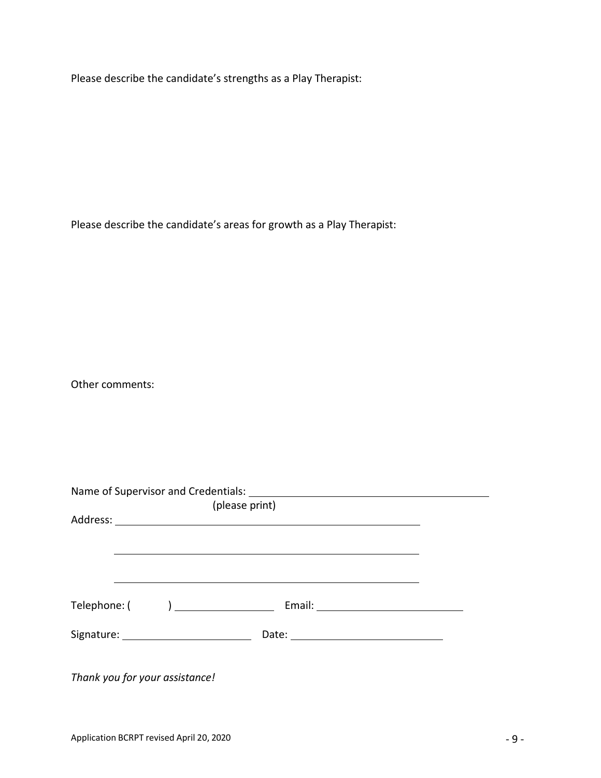Please describe the candidate's strengths as a Play Therapist:

Please describe the candidate's areas for growth as a Play Therapist:

Other comments:

|  | Thank you for your assistance! |  |  |  |  |  |
|--|--------------------------------|--|--|--|--|--|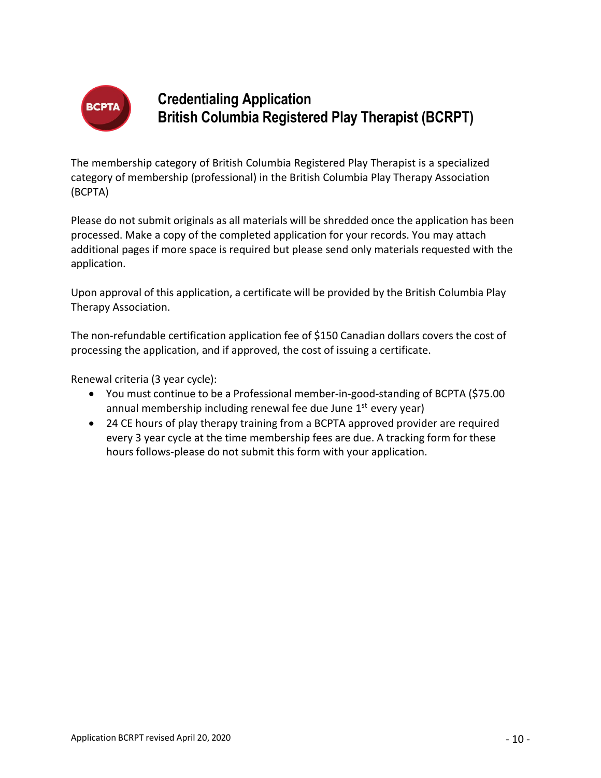

## **Credentialing Application British Columbia Registered Play Therapist (BCRPT)**

The membership category of British Columbia Registered Play Therapist is a specialized category of membership (professional) in the British Columbia Play Therapy Association (BCPTA)

Please do not submit originals as all materials will be shredded once the application has been processed. Make a copy of the completed application for your records. You may attach additional pages if more space is required but please send only materials requested with the application.

Upon approval of this application, a certificate will be provided by the British Columbia Play Therapy Association.

The non-refundable certification application fee of \$150 Canadian dollars covers the cost of processing the application, and if approved, the cost of issuing a certificate.

Renewal criteria (3 year cycle):

- You must continue to be a Professional member-in-good-standing of BCPTA (\$75.00 annual membership including renewal fee due June  $1<sup>st</sup>$  every year)
- 24 CE hours of play therapy training from a BCPTA approved provider are required every 3 year cycle at the time membership fees are due. A tracking form for these hours follows-please do not submit this form with your application.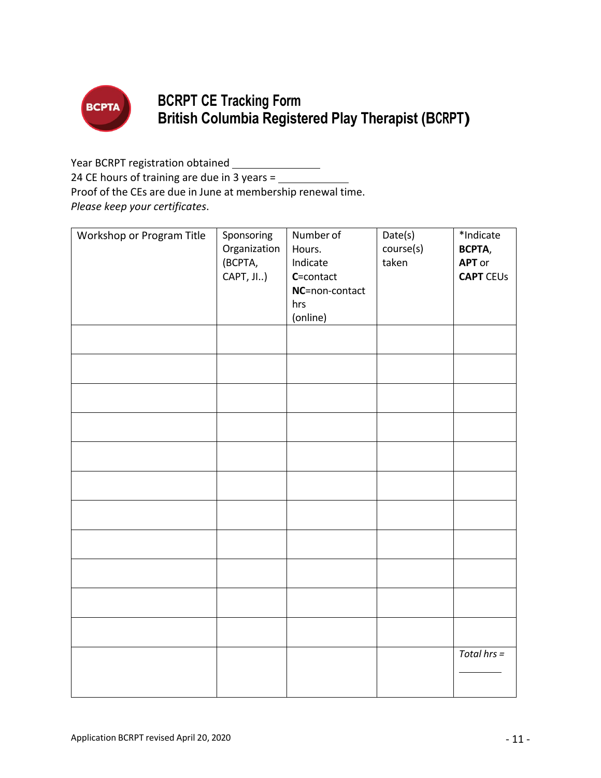

# **BCRPT CE Tracking Form British Columbia Registered Play Therapist (BCRPT)**

Year BCRPT registration obtained \_\_\_\_\_\_\_\_\_\_\_\_\_\_\_

24 CE hours of training are due in 3 years =

Proof of the CEs are due in June at membership renewal time.

*Please keep your certificates*.

| Workshop or Program Title | Sponsoring<br>Organization<br>(BCPTA,<br>CAPT, JI) | Number of<br>Hours.<br>Indicate<br>C=contact<br>NC=non-contact<br>hrs<br>(online) | Date(s)<br>course(s)<br>taken | *Indicate<br>BCPTA,<br><b>APT</b> or<br><b>CAPT CEUS</b> |
|---------------------------|----------------------------------------------------|-----------------------------------------------------------------------------------|-------------------------------|----------------------------------------------------------|
|                           |                                                    |                                                                                   |                               |                                                          |
|                           |                                                    |                                                                                   |                               |                                                          |
|                           |                                                    |                                                                                   |                               |                                                          |
|                           |                                                    |                                                                                   |                               |                                                          |
|                           |                                                    |                                                                                   |                               |                                                          |
|                           |                                                    |                                                                                   |                               |                                                          |
|                           |                                                    |                                                                                   |                               |                                                          |
|                           |                                                    |                                                                                   |                               |                                                          |
|                           |                                                    |                                                                                   |                               |                                                          |
|                           |                                                    |                                                                                   |                               |                                                          |
|                           |                                                    |                                                                                   |                               |                                                          |
|                           |                                                    |                                                                                   |                               | Total $hrs =$                                            |